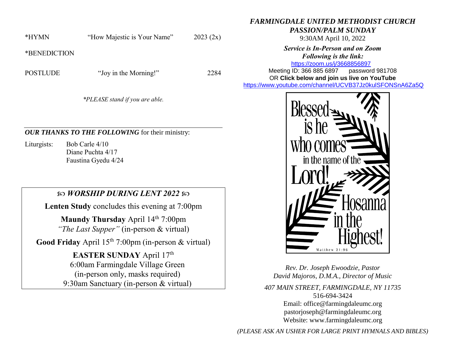\*HYMN "How Majestic is Your Name" 2023 (2x)

\*BENEDICTION

POSTLUDE "Joy in the Morning!" 2284

*\*PLEASE stand if you are able.*

## *OUR THANKS TO THE FOLLOWING* for their ministry:

Liturgists: Bob Carle 4/10 Diane Puchta 4/17 Faustina Gyedu 4/24

## *WORSHIP DURING LENT 2022*

**Lenten Study** concludes this evening at 7:00pm

**Maundy Thursday** April 14<sup>th</sup> 7:00pm *"The Last Supper"* (in-person & virtual)

Good Friday April 15<sup>th</sup> 7:00pm (in-person & virtual)

EASTER SUNDAY April 17<sup>th</sup> 6:00am Farmingdale Village Green (in-person only, masks required) 9:30am Sanctuary (in-person & virtual) *PASSION/PALM SUNDAY*

9:30AM April 10, 2022

*FARMINGDALE UNITED METHODIST CHURCH*

*Service is In-Person and on Zoom Following is the link:* <https://zoom.us/j/3668856897>

Meeting ID: 366 885 6897 password 981708 OR **Click below and join us live on YouTube** 

[https://www.youtube.com/channel/UCVB37Jz0kulSFONSnA6Za5Q](https://r20.rs6.net/tn.jsp?f=001k6RGPvPFbGGMIcfKWiNR_iQRr6wnePVJO5wPBmTGTUG-6H7Rno-Ccjzncf7RAcA2aCO1usCGiuYYhUDPog8HWc38p-B70aEHKS8a7AZ633unLlDnlsyY1rSZY7DrB1di009D1MFmnX36MQIEkLrC34ZIDpgMTMT95Xsd-rYhXX761Me0QKhAdY1E-Os86l7d&c=&ch=)



*Rev. Dr. Joseph Ewoodzie, Pastor David Majoros, D.M.A., Director of Music*

*407 MAIN STREET, FARMINGDALE, NY 11735* 516-694-3424 Email: [office@farmingdaleumc.org](mailto:office@farmingdaleumc.org) pastorjoseph@farmingdaleumc.org Website: www.farmingdaleumc.org

*(PLEASE ASK AN USHER FOR LARGE PRINT HYMNALS AND BIBLES)*